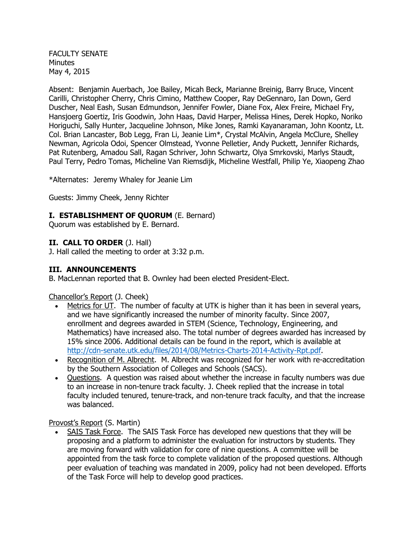FACULTY SENATE **Minutes** May 4, 2015

Absent: Benjamin Auerbach, Joe Bailey, Micah Beck, Marianne Breinig, Barry Bruce, Vincent Carilli, Christopher Cherry, Chris Cimino, Matthew Cooper, Ray DeGennaro, Ian Down, Gerd Duscher, Neal Eash, Susan Edmundson, Jennifer Fowler, Diane Fox, Alex Freire, Michael Fry, Hansjoerg Goertiz, Iris Goodwin, John Haas, David Harper, Melissa Hines, Derek Hopko, Noriko Horiguchi, Sally Hunter, Jacqueline Johnson, Mike Jones, Ramki Kayanaraman, John Koontz, Lt. Col. Brian Lancaster, Bob Legg, Fran Li, Jeanie Lim\*, Crystal McAlvin, Angela McClure, Shelley Newman, Agricola Odoi, Spencer Olmstead, Yvonne Pelletier, Andy Puckett, Jennifer Richards, Pat Rutenberg, Amadou Sall, Ragan Schriver, John Schwartz, Olya Smrkovski, Marlys Staudt, Paul Terry, Pedro Tomas, Micheline Van Riemsdijk, Micheline Westfall, Philip Ye, Xiaopeng Zhao

\*Alternates: Jeremy Whaley for Jeanie Lim

Guests: Jimmy Cheek, Jenny Richter

#### **I. ESTABLISHMENT OF QUORUM** (E. Bernard)

Quorum was established by E. Bernard.

### **II. CALL TO ORDER** (J. Hall)

J. Hall called the meeting to order at 3:32 p.m.

#### **III. ANNOUNCEMENTS**

B. MacLennan reported that B. Ownley had been elected President-Elect.

Chancellor's Report (J. Cheek)

- Metrics for UT. The number of faculty at UTK is higher than it has been in several years, and we have significantly increased the number of minority faculty. Since 2007, enrollment and degrees awarded in STEM (Science, Technology, Engineering, and Mathematics) have increased also. The total number of degrees awarded has increased by 15% since 2006. Additional details can be found in the report, which is available at [http://cdn-senate.utk.edu/files/2014/08/Metrics-Charts-2014-Activity-Rpt.pdf.](http://cdn-senate.utk.edu/files/2014/08/Metrics-Charts-2014-Activity-Rpt.pdf)
- Recognition of M. Albrecht. M. Albrecht was recognized for her work with re-accreditation by the Southern Association of Colleges and Schools (SACS).
- Questions. A question was raised about whether the increase in faculty numbers was due to an increase in non-tenure track faculty. J. Cheek replied that the increase in total faculty included tenured, tenure-track, and non-tenure track faculty, and that the increase was balanced.

Provost's Report (S. Martin)

 SAIS Task Force. The SAIS Task Force has developed new questions that they will be proposing and a platform to administer the evaluation for instructors by students. They are moving forward with validation for core of nine questions. A committee will be appointed from the task force to complete validation of the proposed questions. Although peer evaluation of teaching was mandated in 2009, policy had not been developed. Efforts of the Task Force will help to develop good practices.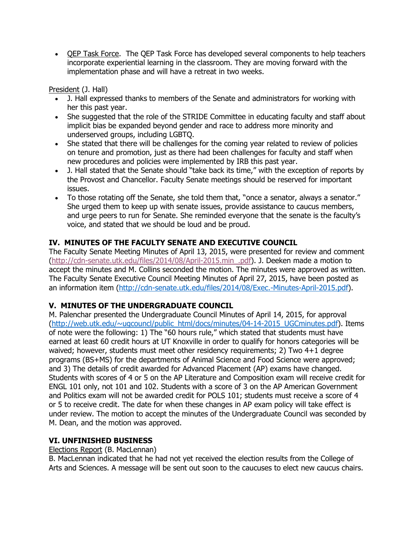• OEP Task Force. The OEP Task Force has developed several components to help teachers incorporate experiential learning in the classroom. They are moving forward with the implementation phase and will have a retreat in two weeks.

President (J. Hall)

- J. Hall expressed thanks to members of the Senate and administrators for working with her this past year.
- She suggested that the role of the STRIDE Committee in educating faculty and staff about implicit bias be expanded beyond gender and race to address more minority and underserved groups, including LGBTQ.
- She stated that there will be challenges for the coming year related to review of policies on tenure and promotion, just as there had been challenges for faculty and staff when new procedures and policies were implemented by IRB this past year.
- J. Hall stated that the Senate should "take back its time," with the exception of reports by the Provost and Chancellor. Faculty Senate meetings should be reserved for important issues.
- To those rotating off the Senate, she told them that, "once a senator, always a senator." She urged them to keep up with senate issues, provide assistance to caucus members, and urge peers to run for Senate. She reminded everyone that the senate is the faculty's voice, and stated that we should be loud and be proud.

# **IV. MINUTES OF THE FACULTY SENATE AND EXECUTIVE COUNCIL**

The Faculty Senate Meeting Minutes of April 13, 2015, were presented for review and comment [\(http://cdn-senate.utk.edu/files/2014/08/April-2015.min\\_.pdf\)](http://cdn-senate.utk.edu/files/2014/08/April-2015.min_.pdf). J. Deeken made a motion to accept the minutes and M. Collins seconded the motion. The minutes were approved as written. The Faculty Senate Executive Council Meeting Minutes of April 27, 2015, have been posted as an information item [\(http://cdn-senate.utk.edu/files/2014/08/Exec.-Minutes-April-2015.pdf\)](http://cdn-senate.utk.edu/files/2014/08/Exec.-Minutes-April-2015.pdf).

# **V. MINUTES OF THE UNDERGRADUATE COUNCIL**

M. Palenchar presented the Undergraduate Council Minutes of April 14, 2015, for approval [\(http://web.utk.edu/~ugcouncl/public\\_html/docs/minutes/04-14-2015\\_UGCminutes.pdf\)](http://web.utk.edu/~ugcouncl/public_html/docs/minutes/04-14-2015_UGCminutes.pdf). Items of note were the following: 1) The "60 hours rule," which stated that students must have earned at least 60 credit hours at UT Knoxville in order to qualify for honors categories will be waived; however, students must meet other residency requirements; 2) Two 4+1 degree programs (BS+MS) for the departments of Animal Science and Food Science were approved; and 3) The details of credit awarded for Advanced Placement (AP) exams have changed. Students with scores of 4 or 5 on the AP Literature and Composition exam will receive credit for ENGL 101 only, not 101 and 102. Students with a score of 3 on the AP American Government and Politics exam will not be awarded credit for POLS 101; students must receive a score of 4 or 5 to receive credit. The date for when these changes in AP exam policy will take effect is under review. The motion to accept the minutes of the Undergraduate Council was seconded by M. Dean, and the motion was approved.

## **VI. UNFINISHED BUSINESS**

Elections Report (B. MacLennan)

B. MacLennan indicated that he had not yet received the election results from the College of Arts and Sciences. A message will be sent out soon to the caucuses to elect new caucus chairs.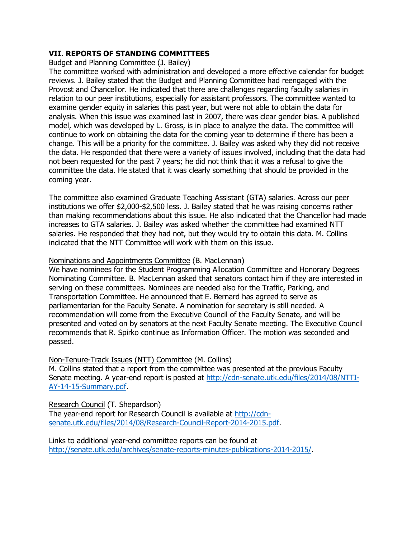## **VII. REPORTS OF STANDING COMMITTEES**

Budget and Planning Committee (J. Bailey)

The committee worked with administration and developed a more effective calendar for budget reviews. J. Bailey stated that the Budget and Planning Committee had reengaged with the Provost and Chancellor. He indicated that there are challenges regarding faculty salaries in relation to our peer institutions, especially for assistant professors. The committee wanted to examine gender equity in salaries this past year, but were not able to obtain the data for analysis. When this issue was examined last in 2007, there was clear gender bias. A published model, which was developed by L. Gross, is in place to analyze the data. The committee will continue to work on obtaining the data for the coming year to determine if there has been a change. This will be a priority for the committee. J. Bailey was asked why they did not receive the data. He responded that there were a variety of issues involved, including that the data had not been requested for the past 7 years; he did not think that it was a refusal to give the committee the data. He stated that it was clearly something that should be provided in the coming year.

The committee also examined Graduate Teaching Assistant (GTA) salaries. Across our peer institutions we offer \$2,000-\$2,500 less. J. Bailey stated that he was raising concerns rather than making recommendations about this issue. He also indicated that the Chancellor had made increases to GTA salaries. J. Bailey was asked whether the committee had examined NTT salaries. He responded that they had not, but they would try to obtain this data. M. Collins indicated that the NTT Committee will work with them on this issue.

### Nominations and Appointments Committee (B. MacLennan)

We have nominees for the Student Programming Allocation Committee and Honorary Degrees Nominating Committee. B. MacLennan asked that senators contact him if they are interested in serving on these committees. Nominees are needed also for the Traffic, Parking, and Transportation Committee. He announced that E. Bernard has agreed to serve as parliamentarian for the Faculty Senate. A nomination for secretary is still needed. A recommendation will come from the Executive Council of the Faculty Senate, and will be presented and voted on by senators at the next Faculty Senate meeting. The Executive Council recommends that R. Spirko continue as Information Officer. The motion was seconded and passed.

Non-Tenure-Track Issues (NTT) Committee (M. Collins) M. Collins stated that a report from the committee was presented at the previous Faculty Senate meeting. A year-end report is posted at [http://cdn-senate.utk.edu/files/2014/08/NTTI-](http://cdn-senate.utk.edu/files/2014/08/NTTI-AY-14-15-Summary.pdf)[AY-14-15-Summary.pdf.](http://cdn-senate.utk.edu/files/2014/08/NTTI-AY-14-15-Summary.pdf)

Research Council (T. Shepardson) The year-end report for Research Council is available at [http://cdn](http://cdn-senate.utk.edu/files/2014/08/Research-Council-Report-2014-2015.pdf)[senate.utk.edu/files/2014/08/Research-Council-Report-2014-2015.pdf.](http://cdn-senate.utk.edu/files/2014/08/Research-Council-Report-2014-2015.pdf)

Links to additional year-end committee reports can be found at [http://senate.utk.edu/archives/senate-reports-minutes-publications-2014-2015/.](http://senate.utk.edu/archives/senate-reports-minutes-publications-2014-2015/)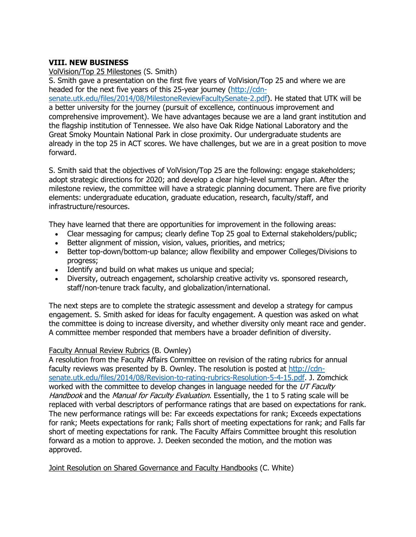### **VIII. NEW BUSINESS**

VolVision/Top 25 Milestones (S. Smith)

S. Smith gave a presentation on the first five years of VolVision/Top 25 and where we are headed for the next five years of this 25-year journey [\(http://cdn](http://cdn-senate.utk.edu/files/2014/08/MilestoneReviewFacultySenate-2.pdf)[senate.utk.edu/files/2014/08/MilestoneReviewFacultySenate-2.pdf\)](http://cdn-senate.utk.edu/files/2014/08/MilestoneReviewFacultySenate-2.pdf). He stated that UTK will be a better university for the journey (pursuit of excellence, continuous improvement and comprehensive improvement). We have advantages because we are a land grant institution and the flagship institution of Tennessee. We also have Oak Ridge National Laboratory and the Great Smoky Mountain National Park in close proximity. Our undergraduate students are already in the top 25 in ACT scores. We have challenges, but we are in a great position to move forward.

S. Smith said that the objectives of VolVision/Top 25 are the following: engage stakeholders; adopt strategic directions for 2020; and develop a clear high-level summary plan. After the milestone review, the committee will have a strategic planning document. There are five priority elements: undergraduate education, graduate education, research, faculty/staff, and infrastructure/resources.

They have learned that there are opportunities for improvement in the following areas:

- Clear messaging for campus; clearly define Top 25 goal to External stakeholders/public;
- Better alignment of mission, vision, values, priorities, and metrics;
- Better top-down/bottom-up balance; allow flexibility and empower Colleges/Divisions to progress;
- Identify and build on what makes us unique and special;
- Diversity, outreach engagement, scholarship creative activity vs. sponsored research, staff/non-tenure track faculty, and globalization/international.

The next steps are to complete the strategic assessment and develop a strategy for campus engagement. S. Smith asked for ideas for faculty engagement. A question was asked on what the committee is doing to increase diversity, and whether diversity only meant race and gender. A committee member responded that members have a broader definition of diversity.

#### Faculty Annual Review Rubrics (B. Ownley)

A resolution from the Faculty Affairs Committee on revision of the rating rubrics for annual faculty reviews was presented by B. Ownley. The resolution is posted at [http://cdn](http://cdn-senate.utk.edu/files/2014/08/Revision-to-rating-rubrics-Resolution-5-4-15.pdf)[senate.utk.edu/files/2014/08/Revision-to-rating-rubrics-Resolution-5-4-15.pdf.](http://cdn-senate.utk.edu/files/2014/08/Revision-to-rating-rubrics-Resolution-5-4-15.pdf) J. Zomchick worked with the committee to develop changes in language needed for the  $UT$  Faculty Handbook and the Manual for Faculty Evaluation. Essentially, the 1 to 5 rating scale will be replaced with verbal descriptors of performance ratings that are based on expectations for rank. The new performance ratings will be: Far exceeds expectations for rank; Exceeds expectations for rank; Meets expectations for rank; Falls short of meeting expectations for rank; and Falls far short of meeting expectations for rank. The Faculty Affairs Committee brought this resolution forward as a motion to approve. J. Deeken seconded the motion, and the motion was approved.

Joint Resolution on Shared Governance and Faculty Handbooks (C. White)